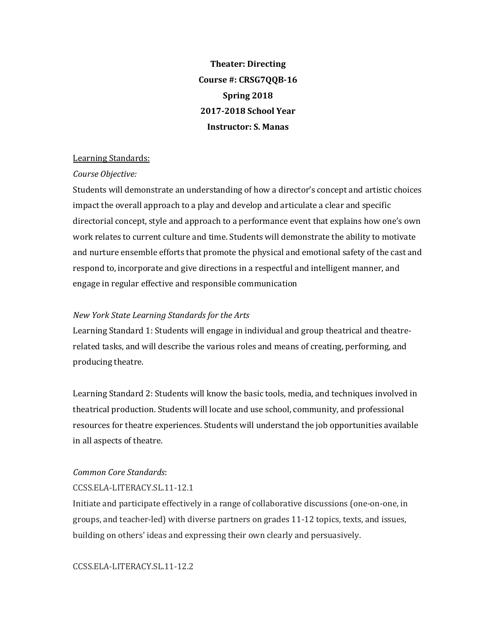**Theater: Directing** Course #: CRSG7QQB-16 **Spring 2018 2017-2018 School Year Instructor: S. Manas**

## Learning Standards:

## *Course Objective:*

Students will demonstrate an understanding of how a director's concept and artistic choices impact the overall approach to a play and develop and articulate a clear and specific directorial concept, style and approach to a performance event that explains how one's own work relates to current culture and time. Students will demonstrate the ability to motivate and nurture ensemble efforts that promote the physical and emotional safety of the cast and respond to, incorporate and give directions in a respectful and intelligent manner, and engage in regular effective and responsible communication

## *New York State Learning Standards for the Arts*

Learning Standard 1: Students will engage in individual and group theatrical and theatrerelated tasks, and will describe the various roles and means of creating, performing, and producing theatre.

Learning Standard 2: Students will know the basic tools, media, and techniques involved in theatrical production. Students will locate and use school, community, and professional resources for theatre experiences. Students will understand the job opportunities available in all aspects of theatre.

## *Common Core Standards*:

## CCSS.ELA-LITERACY.SL.11-12.1

Initiate and participate effectively in a range of collaborative discussions (one-on-one, in groups, and teacher-led) with diverse partners on grades 11-12 topics, texts, and issues, building on others' ideas and expressing their own clearly and persuasively.

CCSS.ELA-LITERACY.SL.11-12.2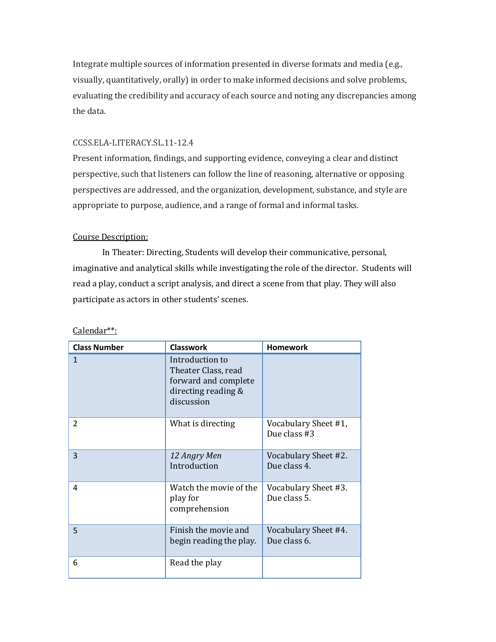Integrate multiple sources of information presented in diverse formats and media (e.g., visually, quantitatively, orally) in order to make informed decisions and solve problems, evaluating the credibility and accuracy of each source and noting any discrepancies among the data.

# CCSS.ELA-LITERACY.SL.11-12.4

Present information, findings, and supporting evidence, conveying a clear and distinct perspective, such that listeners can follow the line of reasoning, alternative or opposing perspectives are addressed, and the organization, development, substance, and style are appropriate to purpose, audience, and a range of formal and informal tasks.

# Course Description:

In Theater: Directing, Students will develop their communicative, personal, imaginative and analytical skills while investigating the role of the director. Students will read a play, conduct a script analysis, and direct a scene from that play. They will also participate as actors in other students' scenes.

| <b>Class Number</b> | <b>Classwork</b>                                                                                    | <b>Homework</b>                      |
|---------------------|-----------------------------------------------------------------------------------------------------|--------------------------------------|
| $\mathbf{1}$        | Introduction to<br>Theater Class, read<br>forward and complete<br>directing reading &<br>discussion |                                      |
| $\mathcal{P}$       | What is directing                                                                                   | Vocabulary Sheet #1,<br>Due class #3 |
| 3                   | 12 Angry Men<br>Introduction                                                                        | Vocabulary Sheet #2.<br>Due class 4. |
| 4                   | Watch the movie of the<br>play for<br>comprehension                                                 | Vocabulary Sheet #3.<br>Due class 5. |
| 5                   | Finish the movie and<br>begin reading the play.                                                     | Vocabulary Sheet #4.<br>Due class 6. |
| 6                   | Read the play                                                                                       |                                      |

Calendar\*\*: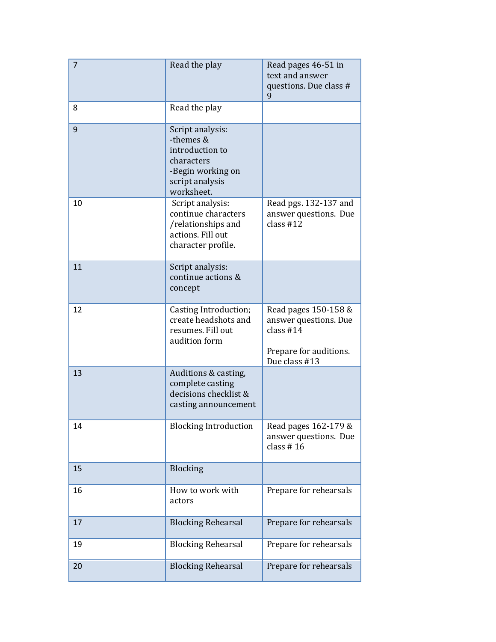| 7  | Read the play                                                                                                        | Read pages 46-51 in<br>text and answer<br>questions. Due class #<br>9                                   |
|----|----------------------------------------------------------------------------------------------------------------------|---------------------------------------------------------------------------------------------------------|
| 8  | Read the play                                                                                                        |                                                                                                         |
| 9  | Script analysis:<br>-themes &<br>introduction to<br>characters<br>-Begin working on<br>script analysis<br>worksheet. |                                                                                                         |
| 10 | Script analysis:<br>continue characters<br>/relationships and<br>actions. Fill out<br>character profile.             | Read pgs. 132-137 and<br>answer questions. Due<br>class $#12$                                           |
| 11 | Script analysis:<br>continue actions &<br>concept                                                                    |                                                                                                         |
| 12 | Casting Introduction;<br>create headshots and<br>resumes. Fill out<br>audition form                                  | Read pages 150-158 &<br>answer questions. Due<br>class $#14$<br>Prepare for auditions.<br>Due class #13 |
| 13 | Auditions & casting,<br>complete casting<br>decisions checklist &<br>casting announcement                            |                                                                                                         |
| 14 | <b>Blocking Introduction</b>                                                                                         | Read pages 162-179 &<br>answer questions. Due<br>class $# 16$                                           |
| 15 | Blocking                                                                                                             |                                                                                                         |
| 16 | How to work with<br>actors                                                                                           | Prepare for rehearsals                                                                                  |
| 17 | <b>Blocking Rehearsal</b>                                                                                            | Prepare for rehearsals                                                                                  |
| 19 | <b>Blocking Rehearsal</b>                                                                                            | Prepare for rehearsals                                                                                  |
| 20 | <b>Blocking Rehearsal</b>                                                                                            | Prepare for rehearsals                                                                                  |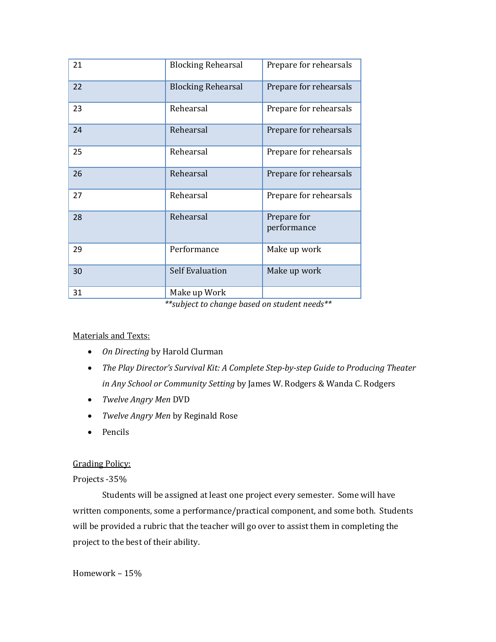| 21 | <b>Blocking Rehearsal</b> | Prepare for rehearsals     |
|----|---------------------------|----------------------------|
| 22 | <b>Blocking Rehearsal</b> | Prepare for rehearsals     |
| 23 | Rehearsal                 | Prepare for rehearsals     |
| 24 | Rehearsal                 | Prepare for rehearsals     |
| 25 | Rehearsal                 | Prepare for rehearsals     |
| 26 | Rehearsal                 | Prepare for rehearsals     |
| 27 | Rehearsal                 | Prepare for rehearsals     |
| 28 | Rehearsal                 | Prepare for<br>performance |
| 29 | Performance               | Make up work               |
| 30 | <b>Self Evaluation</b>    | Make up work               |
| 31 | Make up Work              |                            |

*\*\*subject to change based on student needs\*\**

# Materials and Texts:

- On Directing by Harold Clurman
- The Play Director's Survival Kit: A Complete Step-by-step Guide to Producing Theater *in Any School or Community Setting* by James W. Rodgers & Wanda C. Rodgers
- *Twelve Angry Men DVD*
- *Twelve Angry Men* by Reginald Rose
- Pencils

## **Grading Policy:**

## Projects -35%

Students will be assigned at least one project every semester. Some will have written components, some a performance/practical component, and some both. Students will be provided a rubric that the teacher will go over to assist them in completing the project to the best of their ability.

Homework - 15%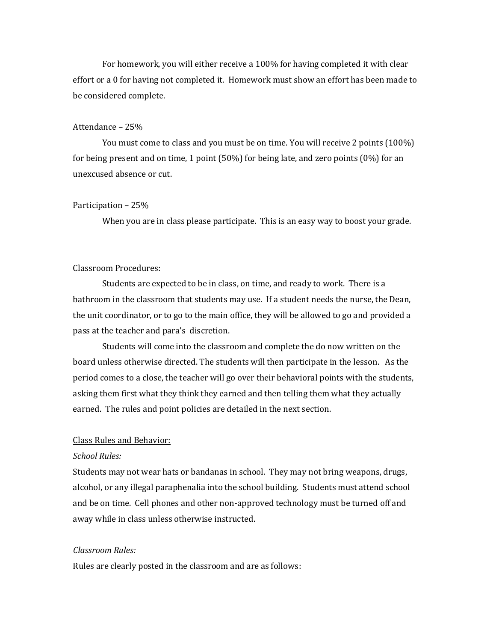For homework, you will either receive a 100% for having completed it with clear effort or a 0 for having not completed it. Homework must show an effort has been made to be considered complete.

#### Attendance  $-25%$

You must come to class and you must be on time. You will receive 2 points (100%) for being present and on time, 1 point  $(50\%)$  for being late, and zero points  $(0\%)$  for an unexcused absence or cut. 

#### Participation – 25%

When you are in class please participate. This is an easy way to boost your grade.

## Classroom Procedures:

Students are expected to be in class, on time, and ready to work. There is a bathroom in the classroom that students may use. If a student needs the nurse, the Dean, the unit coordinator, or to go to the main office, they will be allowed to go and provided a pass at the teacher and para's discretion.

Students will come into the classroom and complete the do now written on the board unless otherwise directed. The students will then participate in the lesson. As the period comes to a close, the teacher will go over their behavioral points with the students, asking them first what they think they earned and then telling them what they actually earned. The rules and point policies are detailed in the next section.

#### Class Rules and Behavior:

#### *School Rules:*

Students may not wear hats or bandanas in school. They may not bring weapons, drugs, alcohol, or any illegal paraphenalia into the school building. Students must attend school and be on time. Cell phones and other non-approved technology must be turned off and away while in class unless otherwise instructed.

#### *Classroom Rules:*

Rules are clearly posted in the classroom and are as follows: